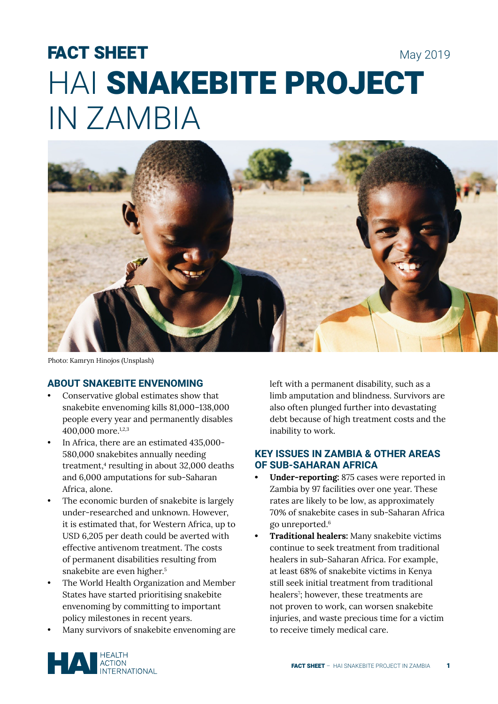# FACT SHEET May 2019 HAI SNAKEBITE PROJECT IN ZAMBIA



Photo: Kamryn Hinojos (Unsplash)

## **ABOUT SNAKEBITE ENVENOMING**

- Conservative global estimates show that snakebite envenoming kills 81,000–138,000 people every year and permanently disables 400,000 more.1,2,3
- In Africa, there are an estimated 435,000- 580,000 snakebites annually needing treatment,4 resulting in about 32,000 deaths and 6,000 amputations for sub-Saharan Africa, alone.
- The economic burden of snakebite is largely under-researched and unknown. However, it is estimated that, for Western Africa, up to USD 6,205 per death could be averted with effective antivenom treatment. The costs of permanent disabilities resulting from snakebite are even higher.<sup>5</sup>
- The World Health Organization and Member States have started prioritising snakebite envenoming by committing to important policy milestones in recent years.
- Many survivors of snakebite envenoming are

left with a permanent disability, such as a limb amputation and blindness. Survivors are also often plunged further into devastating debt because of high treatment costs and the inability to work.

# **KEY ISSUES IN ZAMBIA & OTHER AREAS OF SUB-SAHARAN AFRICA**

- **• Under-reporting:** 875 cases were reported in Zambia by 97 facilities over one year. These rates are likely to be low, as approximately 70% of snakebite cases in sub-Saharan Africa go unreported.6
- **• Traditional healers:** Many snakebite victims continue to seek treatment from traditional healers in sub-Saharan Africa. For example, at least 68% of snakebite victims in Kenya still seek initial treatment from traditional healers<sup>7</sup>; however, these treatments are not proven to work, can worsen snakebite injuries, and waste precious time for a victim to receive timely medical care.